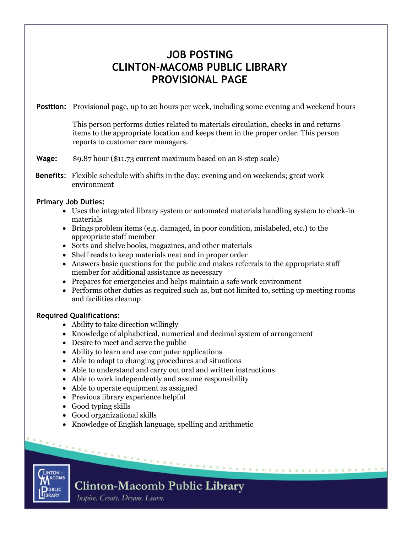# **JOB POSTING CLINTON-MACOMB PUBLIC LIBRARY PROVISIONAL PAGE**

**Position:** Provisional page, up to 20 hours per week, including some evening and weekend hours

This person performs duties related to materials circulation, checks in and returns items to the appropriate location and keeps them in the proper order. This person reports to customer care managers.

# **Wage:** \$9.87 hour (\$11.73 current maximum based on an 8-step scale)

**Benefits**: Flexible schedule with shifts in the day, evening and on weekends; great work environment

### **Primary Job Duties:**

- Uses the integrated library system or automated materials handling system to check-in materials
- Brings problem items (e.g. damaged, in poor condition, mislabeled, etc.) to the appropriate staff member
- Sorts and shelve books, magazines, and other materials
- Shelf reads to keep materials neat and in proper order
- Answers basic questions for the public and makes referrals to the appropriate staff member for additional assistance as necessary
- Prepares for emergencies and helps maintain a safe work environment
- Performs other duties as required such as, but not limited to, setting up meeting rooms and facilities cleanup

. . . . . . . . . . . . . . . . . .

# **Required Qualifications:**

- Ability to take direction willingly
- Knowledge of alphabetical, numerical and decimal system of arrangement
- Desire to meet and serve the public
- Ability to learn and use computer applications
- Able to adapt to changing procedures and situations
- Able to understand and carry out oral and written instructions
- Able to work independently and assume responsibility
- Able to operate equipment as assigned
- Previous library experience helpful
- Good typing skills
- Good organizational skills
- Knowledge of English language, spelling and arithmetic



# **Clinton-Macomb Public Library**

Inspire. Create. Dream. Learn.